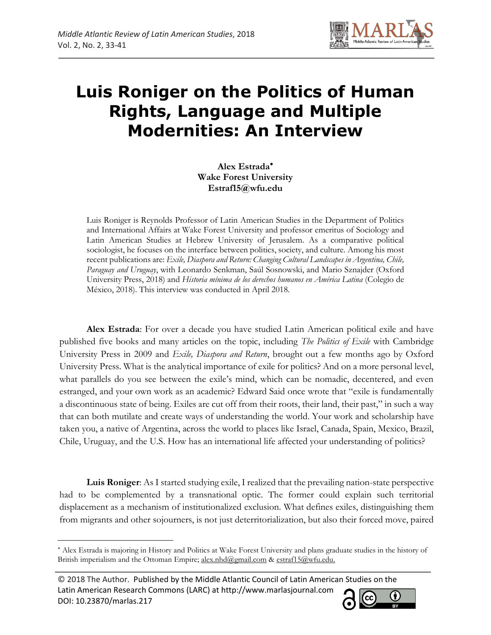

# **Luis Roniger on the Politics of Human Rights, Language and Multiple Modernities: An Interview**

**Alex Estrada Wake Forest University Estraf15@wfu.edu**

Luis Roniger is Reynolds Professor of Latin American Studies in the Department of Politics and International Affairs at Wake Forest University and professor emeritus of Sociology and Latin American Studies at Hebrew University of Jerusalem. As a comparative political sociologist, he focuses on the interface between politics, society, and culture. Among his most recent publications are: *Exile, Diaspora and Return: Changing Cultural Landscapes in Argentina, Chile, Paraguay and Uruguay*, with Leonardo Senkman, Saúl Sosnowski, and Mario Sznajder (Oxford University Press, 2018) and *Historia mínima de los derechos humanos en América Latina* (Colegio de México, 2018). This interview was conducted in April 2018.

**Alex Estrada**: For over a decade you have studied Latin American political exile and have published five books and many articles on the topic, including *The Politics of Exile* with Cambridge University Press in 2009 and *Exile, Diaspora and Return*, brought out a few months ago by Oxford University Press. What is the analytical importance of exile for politics? And on a more personal level, what parallels do you see between the exile's mind, which can be nomadic, decentered, and even estranged, and your own work as an academic? Edward Said once wrote that "exile is fundamentally a discontinuous state of being. Exiles are cut off from their roots, their land, their past," in such a way that can both mutilate and create ways of understanding the world. Your work and scholarship have taken you, a native of Argentina, across the world to places like Israel, Canada, Spain, Mexico, Brazil, Chile, Uruguay, and the U.S. How has an international life affected your understanding of politics?

**Luis Roniger**: As I started studying exile, I realized that the prevailing nation-state perspective had to be complemented by a transnational optic. The former could explain such territorial displacement as a mechanism of institutionalized exclusion. What defines exiles, distinguishing them from migrants and other sojourners, is not just deterritorialization, but also their forced move, paired

 $\overline{\phantom{a}}$ 



Alex Estrada is majoring in History and Politics at Wake Forest University and plans graduate studies in the history of British imperialism and the Ottoman Empire; [alex.nhd@gmail.com](mailto:alex.nhd@gmail.com) & [estraf15@wfu.edu.](mailto:estraf15@wfu.edu)

<sup>© 2018</sup> The Author. Published by the Middle Atlantic Council of Latin American Studies on the Latin American Research Commons (LARC) at http://www.marlasjournal.com DOI: 10.23870/marlas.217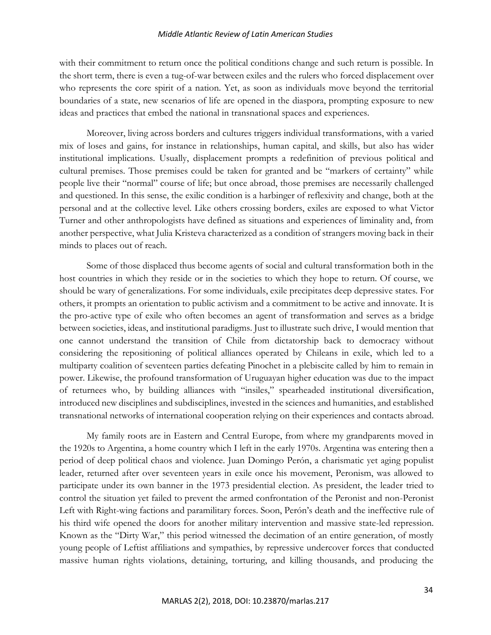# *Middle Atlantic Review of Latin American Studies*

with their commitment to return once the political conditions change and such return is possible. In the short term, there is even a tug-of-war between exiles and the rulers who forced displacement over who represents the core spirit of a nation. Yet, as soon as individuals move beyond the territorial boundaries of a state, new scenarios of life are opened in the diaspora, prompting exposure to new ideas and practices that embed the national in transnational spaces and experiences.

Moreover, living across borders and cultures triggers individual transformations, with a varied mix of loses and gains, for instance in relationships, human capital, and skills, but also has wider institutional implications. Usually, displacement prompts a redefinition of previous political and cultural premises. Those premises could be taken for granted and be "markers of certainty" while people live their "normal" course of life; but once abroad, those premises are necessarily challenged and questioned. In this sense, the exilic condition is a harbinger of reflexivity and change, both at the personal and at the collective level. Like others crossing borders, exiles are exposed to what Victor Turner and other anthropologists have defined as situations and experiences of liminality and, from another perspective, what Julia Kristeva characterized as a condition of strangers moving back in their minds to places out of reach.

Some of those displaced thus become agents of social and cultural transformation both in the host countries in which they reside or in the societies to which they hope to return. Of course, we should be wary of generalizations. For some individuals, exile precipitates deep depressive states. For others, it prompts an orientation to public activism and a commitment to be active and innovate. It is the pro-active type of exile who often becomes an agent of transformation and serves as a bridge between societies, ideas, and institutional paradigms. Just to illustrate such drive, I would mention that one cannot understand the transition of Chile from dictatorship back to democracy without considering the repositioning of political alliances operated by Chileans in exile, which led to a multiparty coalition of seventeen parties defeating Pinochet in a plebiscite called by him to remain in power. Likewise, the profound transformation of Uruguayan higher education was due to the impact of returnees who, by building alliances with "insiles," spearheaded institutional diversification, introduced new disciplines and subdisciplines, invested in the sciences and humanities, and established transnational networks of international cooperation relying on their experiences and contacts abroad.

My family roots are in Eastern and Central Europe, from where my grandparents moved in the 1920s to Argentina, a home country which I left in the early 1970s. Argentina was entering then a period of deep political chaos and violence. Juan Domingo Perón, a charismatic yet aging populist leader, returned after over seventeen years in exile once his movement, Peronism, was allowed to participate under its own banner in the 1973 presidential election. As president, the leader tried to control the situation yet failed to prevent the armed confrontation of the Peronist and non-Peronist Left with Right-wing factions and paramilitary forces. Soon, Perón's death and the ineffective rule of his third wife opened the doors for another military intervention and massive state-led repression. Known as the "Dirty War," this period witnessed the decimation of an entire generation, of mostly young people of Leftist affiliations and sympathies, by repressive undercover forces that conducted massive human rights violations, detaining, torturing, and killing thousands, and producing the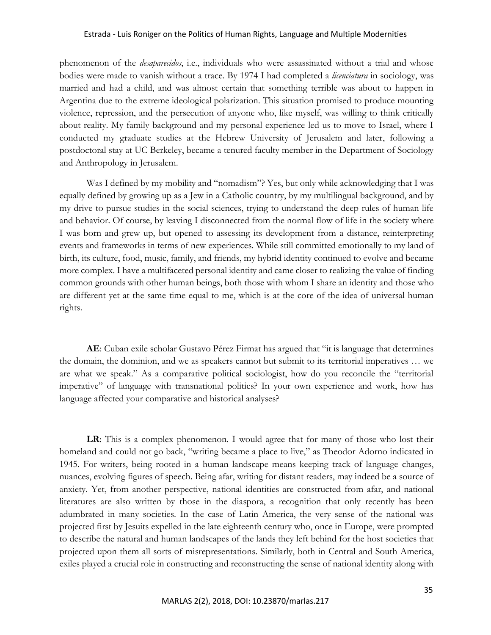phenomenon of the *desaparecidos*, i.e., individuals who were assassinated without a trial and whose bodies were made to vanish without a trace. By 1974 I had completed a *licenciatura* in sociology, was married and had a child, and was almost certain that something terrible was about to happen in Argentina due to the extreme ideological polarization. This situation promised to produce mounting violence, repression, and the persecution of anyone who, like myself, was willing to think critically about reality. My family background and my personal experience led us to move to Israel, where I conducted my graduate studies at the Hebrew University of Jerusalem and later, following a postdoctoral stay at UC Berkeley, became a tenured faculty member in the Department of Sociology and Anthropology in Jerusalem.

Was I defined by my mobility and "nomadism"? Yes, but only while acknowledging that I was equally defined by growing up as a Jew in a Catholic country, by my multilingual background, and by my drive to pursue studies in the social sciences, trying to understand the deep rules of human life and behavior. Of course, by leaving I disconnected from the normal flow of life in the society where I was born and grew up, but opened to assessing its development from a distance, reinterpreting events and frameworks in terms of new experiences. While still committed emotionally to my land of birth, its culture, food, music, family, and friends, my hybrid identity continued to evolve and became more complex. I have a multifaceted personal identity and came closer to realizing the value of finding common grounds with other human beings, both those with whom I share an identity and those who are different yet at the same time equal to me, which is at the core of the idea of universal human rights.

**AE**: Cuban exile scholar Gustavo Pérez Firmat has argued that "it is language that determines the domain, the dominion, and we as speakers cannot but submit to its territorial imperatives … we are what we speak." As a comparative political sociologist, how do you reconcile the "territorial imperative" of language with transnational politics? In your own experience and work, how has language affected your comparative and historical analyses?

**LR**: This is a complex phenomenon. I would agree that for many of those who lost their homeland and could not go back, "writing became a place to live," as Theodor Adorno indicated in 1945. For writers, being rooted in a human landscape means keeping track of language changes, nuances, evolving figures of speech. Being afar, writing for distant readers, may indeed be a source of anxiety. Yet, from another perspective, national identities are constructed from afar, and national literatures are also written by those in the diaspora, a recognition that only recently has been adumbrated in many societies. In the case of Latin America, the very sense of the national was projected first by Jesuits expelled in the late eighteenth century who, once in Europe, were prompted to describe the natural and human landscapes of the lands they left behind for the host societies that projected upon them all sorts of misrepresentations. Similarly, both in Central and South America, exiles played a crucial role in constructing and reconstructing the sense of national identity along with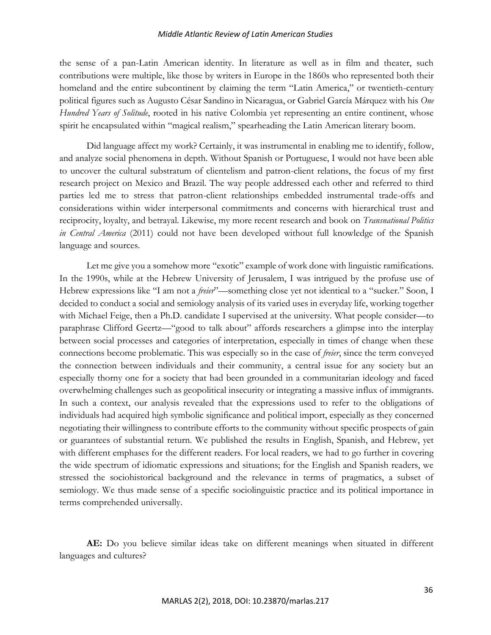# *Middle Atlantic Review of Latin American Studies*

the sense of a pan-Latin American identity. In literature as well as in film and theater, such contributions were multiple, like those by writers in Europe in the 1860s who represented both their homeland and the entire subcontinent by claiming the term "Latin America," or twentieth-century political figures such as Augusto César Sandino in Nicaragua, or Gabriel García Márquez with his *One Hundred Years of Solitude*, rooted in his native Colombia yet representing an entire continent, whose spirit he encapsulated within "magical realism," spearheading the Latin American literary boom.

Did language affect my work? Certainly, it was instrumental in enabling me to identify, follow, and analyze social phenomena in depth. Without Spanish or Portuguese, I would not have been able to uncover the cultural substratum of clientelism and patron-client relations, the focus of my first research project on Mexico and Brazil. The way people addressed each other and referred to third parties led me to stress that patron-client relationships embedded instrumental trade-offs and considerations within wider interpersonal commitments and concerns with hierarchical trust and reciprocity, loyalty, and betrayal. Likewise, my more recent research and book on *Transnational Politics in Central America* (2011) could not have been developed without full knowledge of the Spanish language and sources.

Let me give you a somehow more "exotic" example of work done with linguistic ramifications. In the 1990s, while at the Hebrew University of Jerusalem, I was intrigued by the profuse use of Hebrew expressions like "I am not a *freier*"—something close yet not identical to a "sucker." Soon, I decided to conduct a social and semiology analysis of its varied uses in everyday life, working together with Michael Feige, then a Ph.D. candidate I supervised at the university. What people consider—to paraphrase Clifford Geertz—"good to talk about" affords researchers a glimpse into the interplay between social processes and categories of interpretation, especially in times of change when these connections become problematic. This was especially so in the case of *freier*, since the term conveyed the connection between individuals and their community, a central issue for any society but an especially thorny one for a society that had been grounded in a communitarian ideology and faced overwhelming challenges such as geopolitical insecurity or integrating a massive influx of immigrants. In such a context, our analysis revealed that the expressions used to refer to the obligations of individuals had acquired high symbolic significance and political import, especially as they concerned negotiating their willingness to contribute efforts to the community without specific prospects of gain or guarantees of substantial return. We published the results in English, Spanish, and Hebrew, yet with different emphases for the different readers. For local readers, we had to go further in covering the wide spectrum of idiomatic expressions and situations; for the English and Spanish readers, we stressed the sociohistorical background and the relevance in terms of pragmatics, a subset of semiology. We thus made sense of a specific sociolinguistic practice and its political importance in terms comprehended universally.

**AE:** Do you believe similar ideas take on different meanings when situated in different languages and cultures?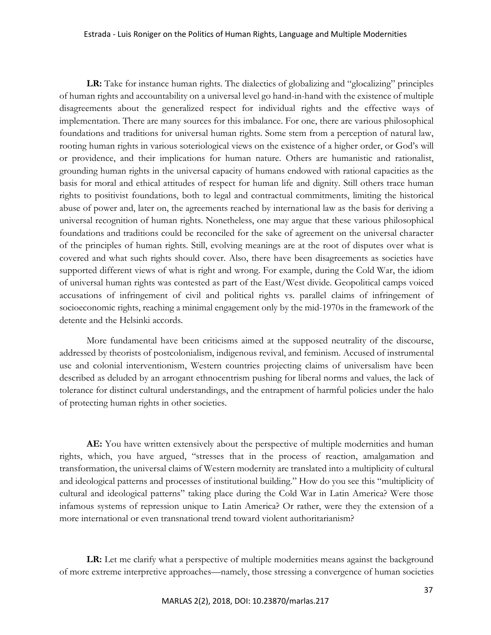**LR:** Take for instance human rights. The dialectics of globalizing and "glocalizing" principles of human rights and accountability on a universal level go hand-in-hand with the existence of multiple disagreements about the generalized respect for individual rights and the effective ways of implementation. There are many sources for this imbalance. For one, there are various philosophical foundations and traditions for universal human rights. Some stem from a perception of natural law, rooting human rights in various soteriological views on the existence of a higher order, or God's will or providence, and their implications for human nature. Others are humanistic and rationalist, grounding human rights in the universal capacity of humans endowed with rational capacities as the basis for moral and ethical attitudes of respect for human life and dignity. Still others trace human rights to positivist foundations, both to legal and contractual commitments, limiting the historical abuse of power and, later on, the agreements reached by international law as the basis for deriving a universal recognition of human rights. Nonetheless, one may argue that these various philosophical foundations and traditions could be reconciled for the sake of agreement on the universal character of the principles of human rights. Still, evolving meanings are at the root of disputes over what is covered and what such rights should cover. Also, there have been disagreements as societies have supported different views of what is right and wrong. For example, during the Cold War, the idiom of universal human rights was contested as part of the East/West divide. Geopolitical camps voiced accusations of infringement of civil and political rights vs. parallel claims of infringement of socioeconomic rights, reaching a minimal engagement only by the mid-1970s in the framework of the detente and the Helsinki accords.

More fundamental have been criticisms aimed at the supposed neutrality of the discourse, addressed by theorists of postcolonialism, indigenous revival, and feminism. Accused of instrumental use and colonial interventionism, Western countries projecting claims of universalism have been described as deluded by an arrogant ethnocentrism pushing for liberal norms and values, the lack of tolerance for distinct cultural understandings, and the entrapment of harmful policies under the halo of protecting human rights in other societies.

**AE:** You have written extensively about the perspective of multiple modernities and human rights, which, you have argued, "stresses that in the process of reaction, amalgamation and transformation, the universal claims of Western modernity are translated into a multiplicity of cultural and ideological patterns and processes of institutional building." How do you see this "multiplicity of cultural and ideological patterns" taking place during the Cold War in Latin America? Were those infamous systems of repression unique to Latin America? Or rather, were they the extension of a more international or even transnational trend toward violent authoritarianism?

LR: Let me clarify what a perspective of multiple modernities means against the background of more extreme interpretive approaches—namely, those stressing a convergence of human societies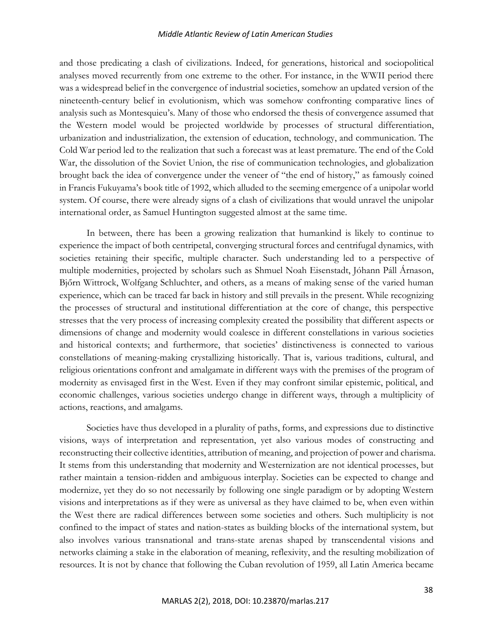# *Middle Atlantic Review of Latin American Studies*

and those predicating a clash of civilizations. Indeed, for generations, historical and sociopolitical analyses moved recurrently from one extreme to the other. For instance, in the WWII period there was a widespread belief in the convergence of industrial societies, somehow an updated version of the nineteenth-century belief in evolutionism, which was somehow confronting comparative lines of analysis such as Montesquieu's. Many of those who endorsed the thesis of convergence assumed that the Western model would be projected worldwide by processes of structural differentiation, urbanization and industrialization, the extension of education, technology, and communication. The Cold War period led to the realization that such a forecast was at least premature. The end of the Cold War, the dissolution of the Soviet Union, the rise of communication technologies, and globalization brought back the idea of convergence under the veneer of "the end of history," as famously coined in Francis Fukuyama's book title of 1992, which alluded to the seeming emergence of a unipolar world system. Of course, there were already signs of a clash of civilizations that would unravel the unipolar international order, as Samuel Huntington suggested almost at the same time.

In between, there has been a growing realization that humankind is likely to continue to experience the impact of both centripetal, converging structural forces and centrifugal dynamics, with societies retaining their specific, multiple character. Such understanding led to a perspective of multiple modernities, projected by scholars such as Shmuel Noah Eisenstadt, Jóhann Páll Árnason, Bjőrn Wittrock, Wolfgang Schluchter, and others, as a means of making sense of the varied human experience, which can be traced far back in history and still prevails in the present. While recognizing the processes of structural and institutional differentiation at the core of change, this perspective stresses that the very process of increasing complexity created the possibility that different aspects or dimensions of change and modernity would coalesce in different constellations in various societies and historical contexts; and furthermore, that societies' distinctiveness is connected to various constellations of meaning-making crystallizing historically. That is, various traditions, cultural, and religious orientations confront and amalgamate in different ways with the premises of the program of modernity as envisaged first in the West. Even if they may confront similar epistemic, political, and economic challenges, various societies undergo change in different ways, through a multiplicity of actions, reactions, and amalgams.

Societies have thus developed in a plurality of paths, forms, and expressions due to distinctive visions, ways of interpretation and representation, yet also various modes of constructing and reconstructing their collective identities, attribution of meaning, and projection of power and charisma. It stems from this understanding that modernity and Westernization are not identical processes, but rather maintain a tension-ridden and ambiguous interplay. Societies can be expected to change and modernize, yet they do so not necessarily by following one single paradigm or by adopting Western visions and interpretations as if they were as universal as they have claimed to be, when even within the West there are radical differences between some societies and others. Such multiplicity is not confined to the impact of states and nation-states as building blocks of the international system, but also involves various transnational and trans-state arenas shaped by transcendental visions and networks claiming a stake in the elaboration of meaning, reflexivity, and the resulting mobilization of resources. It is not by chance that following the Cuban revolution of 1959, all Latin America became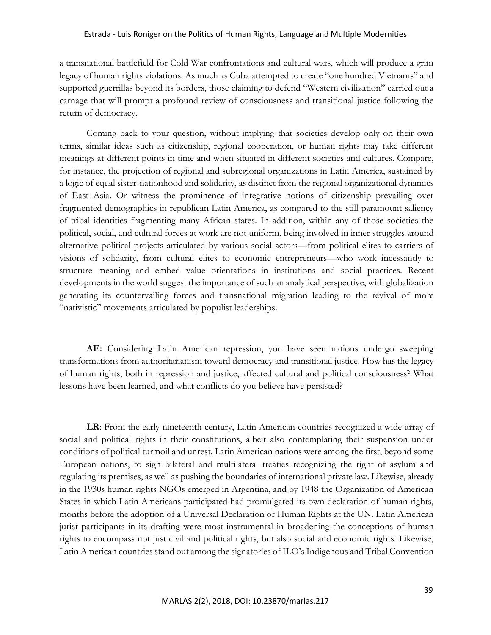a transnational battlefield for Cold War confrontations and cultural wars, which will produce a grim legacy of human rights violations. As much as Cuba attempted to create "one hundred Vietnams" and supported guerrillas beyond its borders, those claiming to defend "Western civilization" carried out a carnage that will prompt a profound review of consciousness and transitional justice following the return of democracy.

Coming back to your question, without implying that societies develop only on their own terms, similar ideas such as citizenship, regional cooperation, or human rights may take different meanings at different points in time and when situated in different societies and cultures. Compare, for instance, the projection of regional and subregional organizations in Latin America, sustained by a logic of equal sister-nationhood and solidarity, as distinct from the regional organizational dynamics of East Asia. Or witness the prominence of integrative notions of citizenship prevailing over fragmented demographics in republican Latin America, as compared to the still paramount saliency of tribal identities fragmenting many African states. In addition, within any of those societies the political, social, and cultural forces at work are not uniform, being involved in inner struggles around alternative political projects articulated by various social actors—from political elites to carriers of visions of solidarity, from cultural elites to economic entrepreneurs—who work incessantly to structure meaning and embed value orientations in institutions and social practices. Recent developments in the world suggest the importance of such an analytical perspective, with globalization generating its countervailing forces and transnational migration leading to the revival of more "nativistic" movements articulated by populist leaderships.

**AE:** Considering Latin American repression, you have seen nations undergo sweeping transformations from authoritarianism toward democracy and transitional justice. How has the legacy of human rights, both in repression and justice, affected cultural and political consciousness? What lessons have been learned, and what conflicts do you believe have persisted?

**LR**: From the early nineteenth century, Latin American countries recognized a wide array of social and political rights in their constitutions, albeit also contemplating their suspension under conditions of political turmoil and unrest. Latin American nations were among the first, beyond some European nations, to sign bilateral and multilateral treaties recognizing the right of asylum and regulating its premises, as well as pushing the boundaries of international private law. Likewise, already in the 1930s human rights NGOs emerged in Argentina, and by 1948 the Organization of American States in which Latin Americans participated had promulgated its own declaration of human rights, months before the adoption of a Universal Declaration of Human Rights at the UN. Latin American jurist participants in its drafting were most instrumental in broadening the conceptions of human rights to encompass not just civil and political rights, but also social and economic rights. Likewise, Latin American countries stand out among the signatories of ILO's Indigenous and Tribal Convention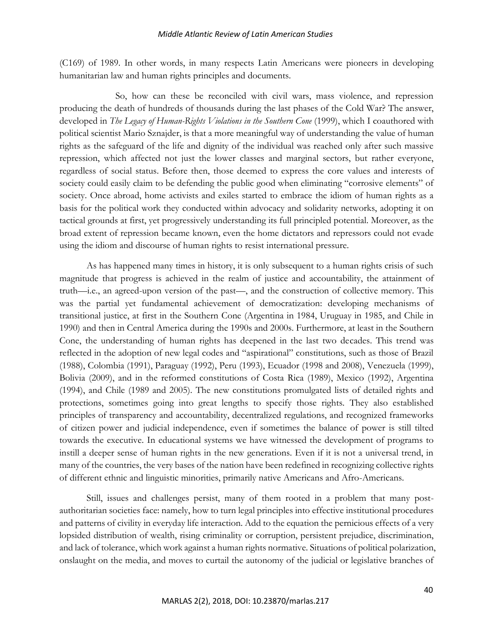(C169) of 1989. In other words, in many respects Latin Americans were pioneers in developing humanitarian law and human rights principles and documents.

So, how can these be reconciled with civil wars, mass violence, and repression producing the death of hundreds of thousands during the last phases of the Cold War? The answer, developed in *The Legacy of Human-Rights Violations in the Southern Cone* (1999), which I coauthored with political scientist Mario Sznajder, is that a more meaningful way of understanding the value of human rights as the safeguard of the life and dignity of the individual was reached only after such massive repression, which affected not just the lower classes and marginal sectors, but rather everyone, regardless of social status. Before then, those deemed to express the core values and interests of society could easily claim to be defending the public good when eliminating "corrosive elements" of society. Once abroad, home activists and exiles started to embrace the idiom of human rights as a basis for the political work they conducted within advocacy and solidarity networks, adopting it on tactical grounds at first, yet progressively understanding its full principled potential. Moreover, as the broad extent of repression became known, even the home dictators and repressors could not evade using the idiom and discourse of human rights to resist international pressure.

As has happened many times in history, it is only subsequent to a human rights crisis of such magnitude that progress is achieved in the realm of justice and accountability, the attainment of truth—i.e., an agreed-upon version of the past—, and the construction of collective memory. This was the partial yet fundamental achievement of democratization: developing mechanisms of transitional justice, at first in the Southern Cone (Argentina in 1984, Uruguay in 1985, and Chile in 1990) and then in Central America during the 1990s and 2000s. Furthermore, at least in the Southern Cone, the understanding of human rights has deepened in the last two decades. This trend was reflected in the adoption of new legal codes and "aspirational" constitutions, such as those of Brazil (1988), Colombia (1991), Paraguay (1992), Peru (1993), Ecuador (1998 and 2008), Venezuela (1999), Bolivia (2009), and in the reformed constitutions of Costa Rica (1989), Mexico (1992), Argentina (1994), and Chile (1989 and 2005). The new constitutions promulgated lists of detailed rights and protections, sometimes going into great lengths to specify those rights. They also established principles of transparency and accountability, decentralized regulations, and recognized frameworks of citizen power and judicial independence, even if sometimes the balance of power is still tilted towards the executive. In educational systems we have witnessed the development of programs to instill a deeper sense of human rights in the new generations. Even if it is not a universal trend, in many of the countries, the very bases of the nation have been redefined in recognizing collective rights of different ethnic and linguistic minorities, primarily native Americans and Afro-Americans.

Still, issues and challenges persist, many of them rooted in a problem that many postauthoritarian societies face: namely, how to turn legal principles into effective institutional procedures and patterns of civility in everyday life interaction. Add to the equation the pernicious effects of a very lopsided distribution of wealth, rising criminality or corruption, persistent prejudice, discrimination, and lack of tolerance, which work against a human rights normative. Situations of political polarization, onslaught on the media, and moves to curtail the autonomy of the judicial or legislative branches of